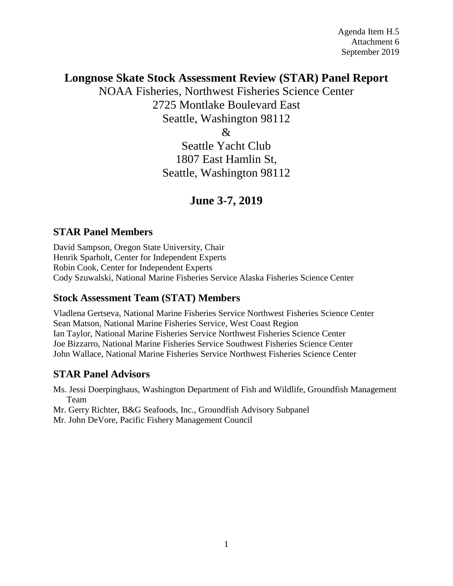# **Longnose Skate Stock Assessment Review (STAR) Panel Report**

NOAA Fisheries, Northwest Fisheries Science Center 2725 Montlake Boulevard East Seattle, Washington 98112  $\&$ 

> Seattle Yacht Club 1807 East Hamlin St, Seattle, Washington 98112

# **June 3-7, 2019**

## **STAR Panel Members**

David Sampson, Oregon State University, Chair Henrik Sparholt, Center for Independent Experts Robin Cook, Center for Independent Experts Cody Szuwalski, National Marine Fisheries Service Alaska Fisheries Science Center

## **Stock Assessment Team (STAT) Members**

Vladlena Gertseva, National Marine Fisheries Service Northwest Fisheries Science Center Sean Matson, National Marine Fisheries Service, West Coast Region Ian Taylor, National Marine Fisheries Service Northwest Fisheries Science Center Joe Bizzarro, National Marine Fisheries Service Southwest Fisheries Science Center John Wallace, National Marine Fisheries Service Northwest Fisheries Science Center

# **STAR Panel Advisors**

Ms. Jessi Doerpinghaus, Washington Department of Fish and Wildlife, Groundfish Management Team

Mr. Gerry Richter, B&G Seafoods, Inc., Groundfish Advisory Subpanel

Mr. John DeVore, Pacific Fishery Management Council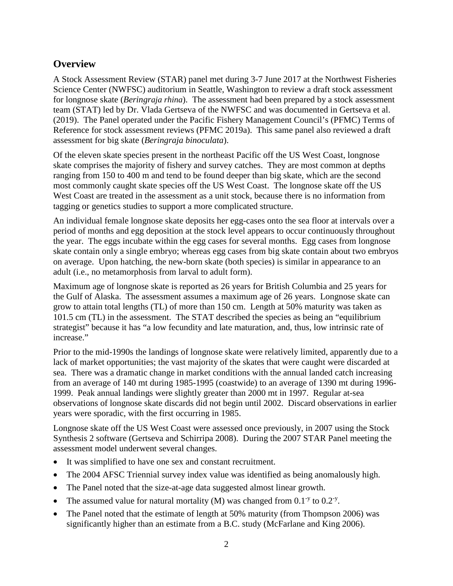# **Overview**

A Stock Assessment Review (STAR) panel met during 3-7 June 2017 at the Northwest Fisheries Science Center (NWFSC) auditorium in Seattle, Washington to review a draft stock assessment for longnose skate (*Beringraja rhina*). The assessment had been prepared by a stock assessment team (STAT) led by Dr. Vlada Gertseva of the NWFSC and was documented in Gertseva et al. (2019). The Panel operated under the Pacific Fishery Management Council's (PFMC) Terms of Reference for stock assessment reviews (PFMC 2019a). This same panel also reviewed a draft assessment for big skate (*Beringraja binoculata*).

Of the eleven skate species present in the northeast Pacific off the US West Coast, longnose skate comprises the majority of fishery and survey catches. They are most common at depths ranging from 150 to 400 m and tend to be found deeper than big skate, which are the second most commonly caught skate species off the US West Coast. The longnose skate off the US West Coast are treated in the assessment as a unit stock, because there is no information from tagging or genetics studies to support a more complicated structure.

An individual female longnose skate deposits her egg-cases onto the sea floor at intervals over a period of months and egg deposition at the stock level appears to occur continuously throughout the year. The eggs incubate within the egg cases for several months. Egg cases from longnose skate contain only a single embryo; whereas egg cases from big skate contain about two embryos on average. Upon hatching, the new-born skate (both species) is similar in appearance to an adult (i.e., no metamorphosis from larval to adult form).

Maximum age of longnose skate is reported as 26 years for British Columbia and 25 years for the Gulf of Alaska. The assessment assumes a maximum age of 26 years. Longnose skate can grow to attain total lengths (TL) of more than 150 cm. Length at 50% maturity was taken as 101.5 cm (TL) in the assessment. The STAT described the species as being an "equilibrium strategist" because it has "a low fecundity and late maturation, and, thus, low intrinsic rate of increase."

Prior to the mid-1990s the landings of longnose skate were relatively limited, apparently due to a lack of market opportunities; the vast majority of the skates that were caught were discarded at sea. There was a dramatic change in market conditions with the annual landed catch increasing from an average of 140 mt during 1985-1995 (coastwide) to an average of 1390 mt during 1996- 1999. Peak annual landings were slightly greater than 2000 mt in 1997. Regular at-sea observations of longnose skate discards did not begin until 2002. Discard observations in earlier years were sporadic, with the first occurring in 1985.

Longnose skate off the US West Coast were assessed once previously, in 2007 using the Stock Synthesis 2 software (Gertseva and Schirripa 2008). During the 2007 STAR Panel meeting the assessment model underwent several changes.

- It was simplified to have one sex and constant recruitment.
- The 2004 AFSC Triennial survey index value was identified as being anomalously high.
- The Panel noted that the size-at-age data suggested almost linear growth.
- The assumed value for natural mortality (M) was changed from  $0.1$ <sup>-y</sup> to  $0.2$ <sup>-y</sup>.
- The Panel noted that the estimate of length at 50% maturity (from Thompson 2006) was significantly higher than an estimate from a B.C. study (McFarlane and King 2006).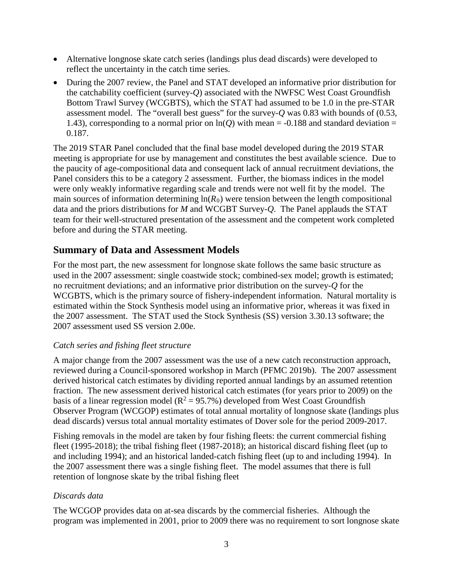- Alternative longnose skate catch series (landings plus dead discards) were developed to reflect the uncertainty in the catch time series.
- During the 2007 review, the Panel and STAT developed an informative prior distribution for the catchability coefficient (survey-*Q*) associated with the NWFSC West Coast Groundfish Bottom Trawl Survey (WCGBTS), which the STAT had assumed to be 1.0 in the pre-STAR assessment model. The "overall best guess" for the survey-*Q* was 0.83 with bounds of (0.53, 1.43), corresponding to a normal prior on  $ln(Q)$  with mean = -0.188 and standard deviation = 0.187.

The 2019 STAR Panel concluded that the final base model developed during the 2019 STAR meeting is appropriate for use by management and constitutes the best available science. Due to the paucity of age-compositional data and consequent lack of annual recruitment deviations, the Panel considers this to be a category 2 assessment. Further, the biomass indices in the model were only weakly informative regarding scale and trends were not well fit by the model. The main sources of information determining  $ln(R_0)$  were tension between the length compositional data and the priors distributions for *M* and WCGBT Survey-*Q*. The Panel applauds the STAT team for their well-structured presentation of the assessment and the competent work completed before and during the STAR meeting.

## **Summary of Data and Assessment Models**

For the most part, the new assessment for longnose skate follows the same basic structure as used in the 2007 assessment: single coastwide stock; combined-sex model; growth is estimated; no recruitment deviations; and an informative prior distribution on the survey-*Q* for the WCGBTS, which is the primary source of fishery-independent information. Natural mortality is estimated within the Stock Synthesis model using an informative prior, whereas it was fixed in the 2007 assessment. The STAT used the Stock Synthesis (SS) version 3.30.13 software; the 2007 assessment used SS version 2.00e.

## *Catch series and fishing fleet structure*

A major change from the 2007 assessment was the use of a new catch reconstruction approach, reviewed during a Council-sponsored workshop in March (PFMC 2019b). The 2007 assessment derived historical catch estimates by dividing reported annual landings by an assumed retention fraction. The new assessment derived historical catch estimates (for years prior to 2009) on the basis of a linear regression model ( $R^2 = 95.7\%$ ) developed from West Coast Groundfish Observer Program (WCGOP) estimates of total annual mortality of longnose skate (landings plus dead discards) versus total annual mortality estimates of Dover sole for the period 2009-2017.

Fishing removals in the model are taken by four fishing fleets: the current commercial fishing fleet (1995-2018); the tribal fishing fleet (1987-2018); an historical discard fishing fleet (up to and including 1994); and an historical landed-catch fishing fleet (up to and including 1994). In the 2007 assessment there was a single fishing fleet. The model assumes that there is full retention of longnose skate by the tribal fishing fleet

## *Discards data*

The WCGOP provides data on at-sea discards by the commercial fisheries. Although the program was implemented in 2001, prior to 2009 there was no requirement to sort longnose skate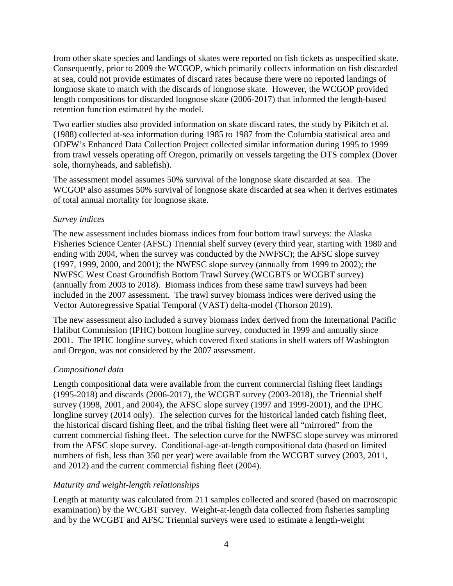from other skate species and landings of skates were reported on fish tickets as unspecified skate. Consequently, prior to 2009 the WCGOP, which primarily collects information on fish discarded at sea, could not provide estimates of discard rates because there were no reported landings of longnose skate to match with the discards of longnose skate. However, the WCGOP provided length compositions for discarded longnose skate (2006-2017) that informed the length-based retention function estimated by the model.

Two earlier studies also provided information on skate discard rates, the study by Pikitch et al. (1988) collected at-sea information during 1985 to 1987 from the Columbia statistical area and ODFW's Enhanced Data Collection Project collected similar information during 1995 to 1999 from trawl vessels operating off Oregon, primarily on vessels targeting the DTS complex (Dover sole, thornyheads, and sablefish).

The assessment model assumes 50% survival of the longnose skate discarded at sea. The WCGOP also assumes 50% survival of longnose skate discarded at sea when it derives estimates of total annual mortality for longnose skate.

### *Survey indices*

The new assessment includes biomass indices from four bottom trawl surveys: the Alaska Fisheries Science Center (AFSC) Triennial shelf survey (every third year, starting with 1980 and ending with 2004, when the survey was conducted by the NWFSC); the AFSC slope survey (1997, 1999, 2000, and 2001); the NWFSC slope survey (annually from 1999 to 2002); the NWFSC West Coast Groundfish Bottom Trawl Survey (WCGBTS or WCGBT survey) (annually from 2003 to 2018). Biomass indices from these same trawl surveys had been included in the 2007 assessment. The trawl survey biomass indices were derived using the Vector Autoregressive Spatial Temporal (VAST) delta-model (Thorson 2019).

The new assessment also included a survey biomass index derived from the International Pacific Halibut Commission (IPHC) bottom longline survey, conducted in 1999 and annually since 2001. The IPHC longline survey, which covered fixed stations in shelf waters off Washington and Oregon, was not considered by the 2007 assessment.

## *Compositional data*

Length compositional data were available from the current commercial fishing fleet landings (1995-2018) and discards (2006-2017), the WCGBT survey (2003-2018), the Triennial shelf survey (1998, 2001, and 2004), the AFSC slope survey (1997 and 1999-2001), and the IPHC longline survey (2014 only). The selection curves for the historical landed catch fishing fleet, the historical discard fishing fleet, and the tribal fishing fleet were all "mirrored" from the current commercial fishing fleet. The selection curve for the NWFSC slope survey was mirrored from the AFSC slope survey. Conditional-age-at-length compositional data (based on limited numbers of fish, less than 350 per year) were available from the WCGBT survey (2003, 2011, and 2012) and the current commercial fishing fleet (2004).

## *Maturity and weight-length relationships*

Length at maturity was calculated from 211 samples collected and scored (based on macroscopic examination) by the WCGBT survey. Weight-at-length data collected from fisheries sampling and by the WCGBT and AFSC Triennial surveys were used to estimate a length-weight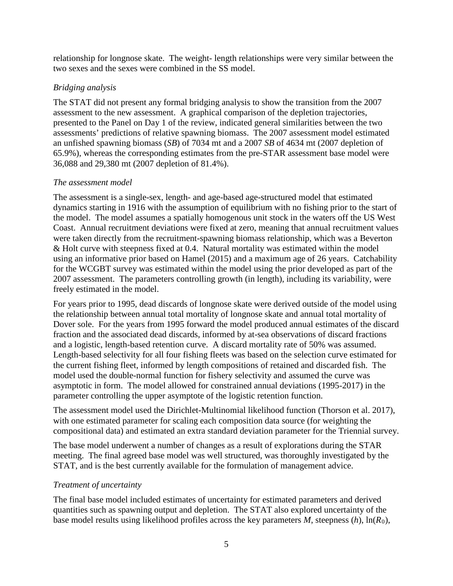relationship for longnose skate. The weight- length relationships were very similar between the two sexes and the sexes were combined in the SS model.

## *Bridging analysis*

The STAT did not present any formal bridging analysis to show the transition from the 2007 assessment to the new assessment. A graphical comparison of the depletion trajectories, presented to the Panel on Day 1 of the review, indicated general similarities between the two assessments' predictions of relative spawning biomass. The 2007 assessment model estimated an unfished spawning biomass (*SB*) of 7034 mt and a 2007 *SB* of 4634 mt (2007 depletion of 65.9%), whereas the corresponding estimates from the pre-STAR assessment base model were 36,088 and 29,380 mt (2007 depletion of 81.4%).

## *The assessment model*

The assessment is a single-sex, length- and age-based age-structured model that estimated dynamics starting in 1916 with the assumption of equilibrium with no fishing prior to the start of the model. The model assumes a spatially homogenous unit stock in the waters off the US West Coast. Annual recruitment deviations were fixed at zero, meaning that annual recruitment values were taken directly from the recruitment-spawning biomass relationship, which was a Beverton & Holt curve with steepness fixed at 0.4. Natural mortality was estimated within the model using an informative prior based on Hamel (2015) and a maximum age of 26 years. Catchability for the WCGBT survey was estimated within the model using the prior developed as part of the 2007 assessment. The parameters controlling growth (in length), including its variability, were freely estimated in the model.

For years prior to 1995, dead discards of longnose skate were derived outside of the model using the relationship between annual total mortality of longnose skate and annual total mortality of Dover sole. For the years from 1995 forward the model produced annual estimates of the discard fraction and the associated dead discards, informed by at-sea observations of discard fractions and a logistic, length-based retention curve. A discard mortality rate of 50% was assumed. Length-based selectivity for all four fishing fleets was based on the selection curve estimated for the current fishing fleet, informed by length compositions of retained and discarded fish. The model used the double-normal function for fishery selectivity and assumed the curve was asymptotic in form. The model allowed for constrained annual deviations (1995-2017) in the parameter controlling the upper asymptote of the logistic retention function.

The assessment model used the Dirichlet-Multinomial likelihood function (Thorson et al. 2017), with one estimated parameter for scaling each composition data source (for weighting the compositional data) and estimated an extra standard deviation parameter for the Triennial survey.

The base model underwent a number of changes as a result of explorations during the STAR meeting. The final agreed base model was well structured, was thoroughly investigated by the STAT, and is the best currently available for the formulation of management advice.

## *Treatment of uncertainty*

The final base model included estimates of uncertainty for estimated parameters and derived quantities such as spawning output and depletion. The STAT also explored uncertainty of the base model results using likelihood profiles across the key parameters *M*, steepness (*h*), ln(*R*0),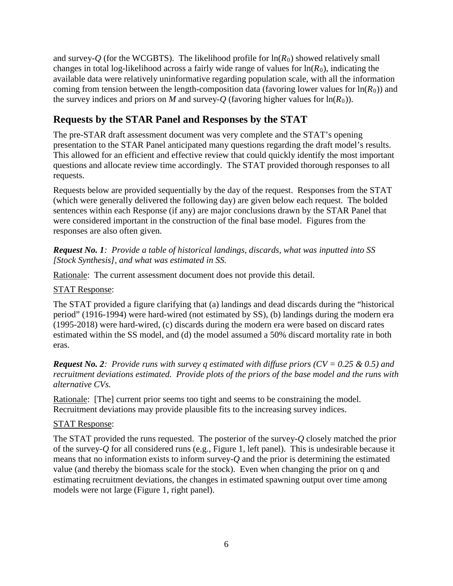and survey-*O* (for the WCGBTS). The likelihood profile for  $\ln(R_0)$  showed relatively small changes in total log-likelihood across a fairly wide range of values for  $ln(R_0)$ , indicating the available data were relatively uninformative regarding population scale, with all the information coming from tension between the length-composition data (favoring lower values for  $\ln(R_0)$ ) and the survey indices and priors on *M* and survey-*Q* (favoring higher values for  $ln(R_0)$ ).

# **Requests by the STAR Panel and Responses by the STAT**

The pre-STAR draft assessment document was very complete and the STAT's opening presentation to the STAR Panel anticipated many questions regarding the draft model's results. This allowed for an efficient and effective review that could quickly identify the most important questions and allocate review time accordingly. The STAT provided thorough responses to all requests.

Requests below are provided sequentially by the day of the request. Responses from the STAT (which were generally delivered the following day) are given below each request. The bolded sentences within each Response (if any) are major conclusions drawn by the STAR Panel that were considered important in the construction of the final base model. Figures from the responses are also often given.

*Request No. 1: Provide a table of historical landings, discards, what was inputted into SS [Stock Synthesis], and what was estimated in SS.*

Rationale: The current assessment document does not provide this detail.

### STAT Response:

The STAT provided a figure clarifying that (a) landings and dead discards during the "historical period" (1916-1994) were hard-wired (not estimated by SS), (b) landings during the modern era (1995-2018) were hard-wired, (c) discards during the modern era were based on discard rates estimated within the SS model, and (d) the model assumed a 50% discard mortality rate in both eras.

*Request No. 2: Provide runs with survey q estimated with diffuse priors (CV = 0.25 & 0.5) and recruitment deviations estimated. Provide plots of the priors of the base model and the runs with alternative CVs.*

Rationale: [The] current prior seems too tight and seems to be constraining the model. Recruitment deviations may provide plausible fits to the increasing survey indices.

#### STAT Response:

The STAT provided the runs requested. The posterior of the survey-*Q* closely matched the prior of the survey-*Q* for all considered runs (e.g., Figure 1, left panel). This is undesirable because it means that no information exists to inform survey-*Q* and the prior is determining the estimated value (and thereby the biomass scale for the stock). Even when changing the prior on q and estimating recruitment deviations, the changes in estimated spawning output over time among models were not large (Figure 1, right panel).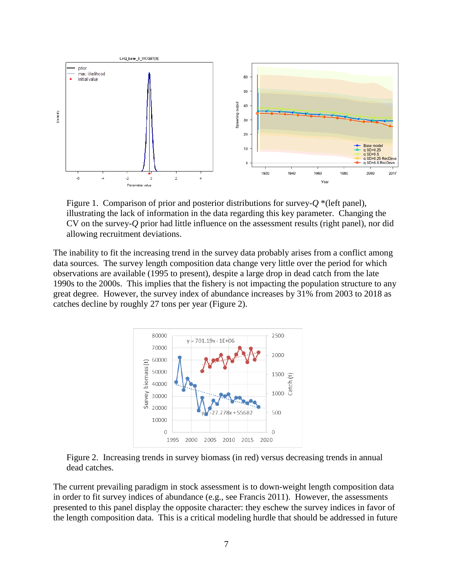

Figure 1. Comparison of prior and posterior distributions for survey-*Q* \*(left panel), illustrating the lack of information in the data regarding this key parameter. Changing the CV on the survey-*Q* prior had little influence on the assessment results (right panel), nor did allowing recruitment deviations.

The inability to fit the increasing trend in the survey data probably arises from a conflict among data sources. The survey length composition data change very little over the period for which observations are available (1995 to present), despite a large drop in dead catch from the late 1990s to the 2000s. This implies that the fishery is not impacting the population structure to any great degree. However, the survey index of abundance increases by 31% from 2003 to 2018 as catches decline by roughly 27 tons per year (Figure 2).



Figure 2. Increasing trends in survey biomass (in red) versus decreasing trends in annual dead catches.

The current prevailing paradigm in stock assessment is to down-weight length composition data in order to fit survey indices of abundance (e.g., see Francis 2011). However, the assessments presented to this panel display the opposite character: they eschew the survey indices in favor of the length composition data. This is a critical modeling hurdle that should be addressed in future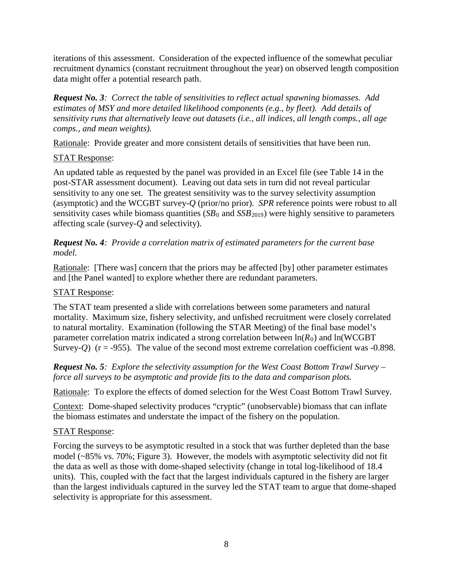iterations of this assessment. Consideration of the expected influence of the somewhat peculiar recruitment dynamics (constant recruitment throughout the year) on observed length composition data might offer a potential research path.

*Request No. 3: Correct the table of sensitivities to reflect actual spawning biomasses. Add estimates of MSY and more detailed likelihood components (e.g., by fleet). Add details of sensitivity runs that alternatively leave out datasets (i.e., all indices, all length comps., all age comps., and mean weights).*

Rationale: Provide greater and more consistent details of sensitivities that have been run.

## STAT Response:

An updated table as requested by the panel was provided in an Excel file (see Table 14 in the post-STAR assessment document). Leaving out data sets in turn did not reveal particular sensitivity to any one set. The greatest sensitivity was to the survey selectivity assumption (asymptotic) and the WCGBT survey-*Q* (prior/no prior). *SPR* reference points were robust to all sensitivity cases while biomass quantities  $(SB_0$  and  $SSB_{2019})$  were highly sensitive to parameters affecting scale (survey-*Q* and selectivity).

*Request No. 4: Provide a correlation matrix of estimated parameters for the current base model.*

Rationale: [There was] concern that the priors may be affected [by] other parameter estimates and [the Panel wanted] to explore whether there are redundant parameters.

## STAT Response:

The STAT team presented a slide with correlations between some parameters and natural mortality. Maximum size, fishery selectivity, and unfished recruitment were closely correlated to natural mortality. Examination (following the STAR Meeting) of the final base model's parameter correlation matrix indicated a strong correlation between  $ln(R_0)$  and  $ln(WCGBT)$ Survey- $Q$ ) ( $r = -955$ ). The value of the second most extreme correlation coefficient was  $-0.898$ .

*Request No. 5: Explore the selectivity assumption for the West Coast Bottom Trawl Survey – force all surveys to be asymptotic and provide fits to the data and comparison plots.*

Rationale: To explore the effects of domed selection for the West Coast Bottom Trawl Survey.

Context: Dome-shaped selectivity produces "cryptic" (unobservable) biomass that can inflate the biomass estimates and understate the impact of the fishery on the population.

## STAT Response:

Forcing the surveys to be asymptotic resulted in a stock that was further depleted than the base model (~85% vs. 70%; Figure 3). However, the models with asymptotic selectivity did not fit the data as well as those with dome-shaped selectivity (change in total log-likelihood of 18.4 units). This, coupled with the fact that the largest individuals captured in the fishery are larger than the largest individuals captured in the survey led the STAT team to argue that dome-shaped selectivity is appropriate for this assessment.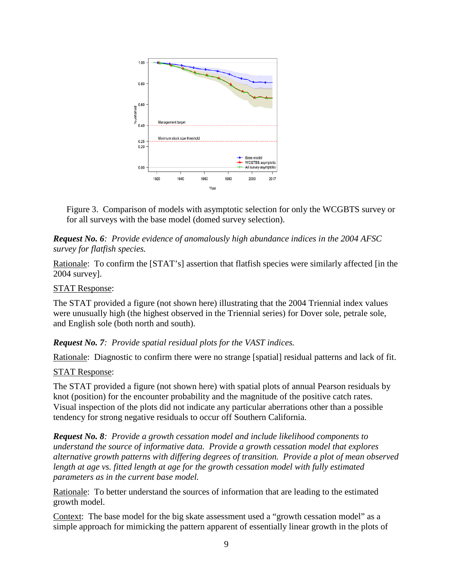

Figure 3. Comparison of models with asymptotic selection for only the WCGBTS survey or for all surveys with the base model (domed survey selection).

### *Request No. 6: Provide evidence of anomalously high abundance indices in the 2004 AFSC survey for flatfish species.*

Rationale: To confirm the [STAT's] assertion that flatfish species were similarly affected [in the 2004 survey].

### STAT Response:

The STAT provided a figure (not shown here) illustrating that the 2004 Triennial index values were unusually high (the highest observed in the Triennial series) for Dover sole, petrale sole, and English sole (both north and south).

*Request No. 7: Provide spatial residual plots for the VAST indices.*

Rationale: Diagnostic to confirm there were no strange [spatial] residual patterns and lack of fit.

## STAT Response:

The STAT provided a figure (not shown here) with spatial plots of annual Pearson residuals by knot (position) for the encounter probability and the magnitude of the positive catch rates. Visual inspection of the plots did not indicate any particular aberrations other than a possible tendency for strong negative residuals to occur off Southern California.

*Request No. 8: Provide a growth cessation model and include likelihood components to understand the source of informative data. Provide a growth cessation model that explores alternative growth patterns with differing degrees of transition. Provide a plot of mean observed length at age vs. fitted length at age for the growth cessation model with fully estimated parameters as in the current base model.*

Rationale: To better understand the sources of information that are leading to the estimated growth model.

Context: The base model for the big skate assessment used a "growth cessation model" as a simple approach for mimicking the pattern apparent of essentially linear growth in the plots of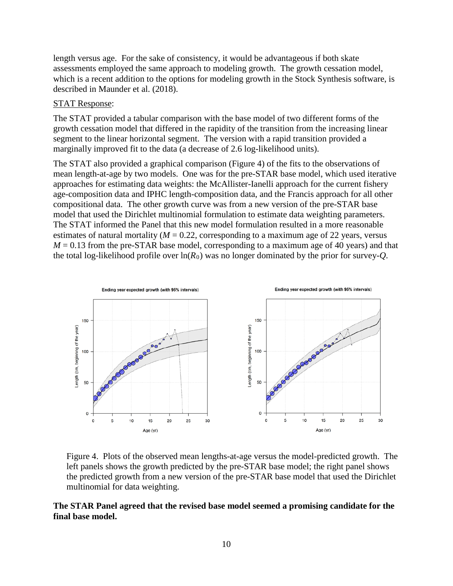length versus age. For the sake of consistency, it would be advantageous if both skate assessments employed the same approach to modeling growth. The growth cessation model, which is a recent addition to the options for modeling growth in the Stock Synthesis software, is described in Maunder et al. (2018).

#### STAT Response:

The STAT provided a tabular comparison with the base model of two different forms of the growth cessation model that differed in the rapidity of the transition from the increasing linear segment to the linear horizontal segment. The version with a rapid transition provided a marginally improved fit to the data (a decrease of 2.6 log-likelihood units).

The STAT also provided a graphical comparison (Figure 4) of the fits to the observations of mean length-at-age by two models. One was for the pre-STAR base model, which used iterative approaches for estimating data weights: the McAllister-Ianelli approach for the current fishery age-composition data and IPHC length-composition data, and the Francis approach for all other compositional data. The other growth curve was from a new version of the pre-STAR base model that used the Dirichlet multinomial formulation to estimate data weighting parameters. The STAT informed the Panel that this new model formulation resulted in a more reasonable estimates of natural mortality  $(M = 0.22$ , corresponding to a maximum age of 22 years, versus  $M = 0.13$  from the pre-STAR base model, corresponding to a maximum age of 40 years) and that the total log-likelihood profile over  $ln(R_0)$  was no longer dominated by the prior for survey-*Q*.



Figure 4. Plots of the observed mean lengths-at-age versus the model-predicted growth. The left panels shows the growth predicted by the pre-STAR base model; the right panel shows the predicted growth from a new version of the pre-STAR base model that used the Dirichlet multinomial for data weighting.

#### **The STAR Panel agreed that the revised base model seemed a promising candidate for the final base model.**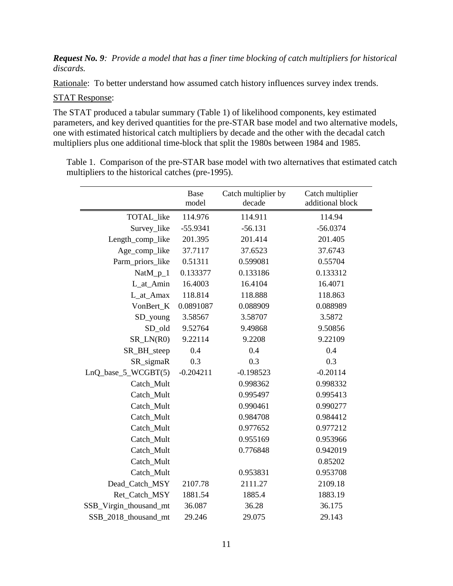#### *Request No. 9: Provide a model that has a finer time blocking of catch multipliers for historical discards.*

Rationale: To better understand how assumed catch history influences survey index trends.

#### STAT Response:

The STAT produced a tabular summary (Table 1) of likelihood components, key estimated parameters, and key derived quantities for the pre-STAR base model and two alternative models, one with estimated historical catch multipliers by decade and the other with the decadal catch multipliers plus one additional time-block that split the 1980s between 1984 and 1985.

Table 1. Comparison of the pre-STAR base model with two alternatives that estimated catch multipliers to the historical catches (pre-1995).

|                        | Base<br>model | Catch multiplier by<br>decade | Catch multiplier<br>additional block |
|------------------------|---------------|-------------------------------|--------------------------------------|
| TOTAL_like             | 114.976       | 114.911                       | 114.94                               |
| Survey_like            | $-55.9341$    | $-56.131$                     | $-56.0374$                           |
| Length_comp_like       | 201.395       | 201.414                       | 201.405                              |
| Age_comp_like          | 37.7117       | 37.6523                       | 37.6743                              |
| Parm_priors_like       | 0.51311       | 0.599081                      | 0.55704                              |
| NatM_p_1               | 0.133377      | 0.133186                      | 0.133312                             |
| L_at_Amin              | 16.4003       | 16.4104                       | 16.4071                              |
| L_at_Amax              | 118.814       | 118.888                       | 118.863                              |
| VonBert_K              | 0.0891087     | 0.088909                      | 0.088989                             |
| SD_young               | 3.58567       | 3.58707                       | 3.5872                               |
| SD_old                 | 9.52764       | 9.49868                       | 9.50856                              |
| $SR_LN(R0)$            | 9.22114       | 9.2208                        | 9.22109                              |
| SR_BH_steep            | 0.4           | 0.4                           | 0.4                                  |
| SR_sigmaR              | 0.3           | 0.3                           | 0.3                                  |
| LnQ_base_5_WCGBT(5)    | $-0.204211$   | $-0.198523$                   | $-0.20114$                           |
| Catch_Mult             |               | 0.998362                      | 0.998332                             |
| Catch_Mult             |               | 0.995497                      | 0.995413                             |
| Catch_Mult             |               | 0.990461                      | 0.990277                             |
| Catch_Mult             |               | 0.984708                      | 0.984412                             |
| Catch_Mult             |               | 0.977652                      | 0.977212                             |
| Catch_Mult             |               | 0.955169                      | 0.953966                             |
| Catch_Mult             |               | 0.776848                      | 0.942019                             |
| Catch_Mult             |               |                               | 0.85202                              |
| Catch_Mult             |               | 0.953831                      | 0.953708                             |
| Dead_Catch_MSY         | 2107.78       | 2111.27                       | 2109.18                              |
| Ret_Catch_MSY          | 1881.54       | 1885.4                        | 1883.19                              |
| SSB_Virgin_thousand_mt | 36.087        | 36.28                         | 36.175                               |
| SSB 2018 thousand mt   | 29.246        | 29.075                        | 29.143                               |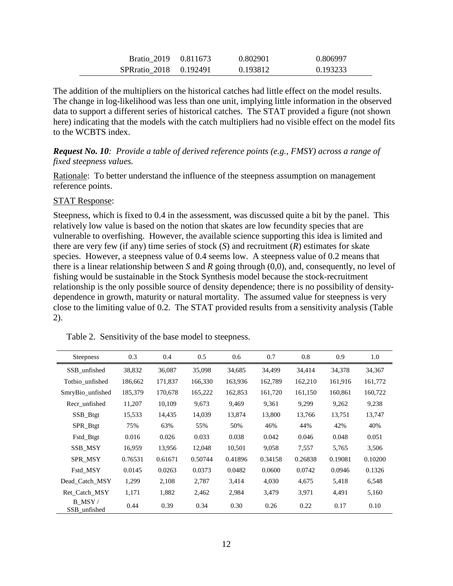| Bratio 2019 0.811673 |          | 0.802901 | 0.806997 |
|----------------------|----------|----------|----------|
| SPRratio 2018        | 0.192491 | 0.193812 | 0.193233 |

The addition of the multipliers on the historical catches had little effect on the model results. The change in log-likelihood was less than one unit, implying little information in the observed data to support a different series of historical catches. The STAT provided a figure (not shown here) indicating that the models with the catch multipliers had no visible effect on the model fits to the WCBTS index.

*Request No. 10: Provide a table of derived reference points (e.g., FMSY) across a range of fixed steepness values.*

Rationale: To better understand the influence of the steepness assumption on management reference points.

#### STAT Response:

Steepness, which is fixed to 0.4 in the assessment, was discussed quite a bit by the panel. This relatively low value is based on the notion that skates are low fecundity species that are vulnerable to overfishing. However, the available science supporting this idea is limited and there are very few (if any) time series of stock (*S*) and recruitment (*R*) estimates for skate species. However, a steepness value of 0.4 seems low. A steepness value of 0.2 means that there is a linear relationship between *S* and *R* going through (0,0), and, consequently, no level of fishing would be sustainable in the Stock Synthesis model because the stock-recruitment relationship is the only possible source of density dependence; there is no possibility of densitydependence in growth, maturity or natural mortality. The assumed value for steepness is very close to the limiting value of 0.2. The STAT provided results from a sensitivity analysis (Table 2).

| <b>Steepness</b>       | 0.3     | 0.4     | 0.5     | 0.6     | 0.7     | 0.8     | 0.9     | 1.0     |
|------------------------|---------|---------|---------|---------|---------|---------|---------|---------|
| SSB_unfished           | 38,832  | 36,087  | 35,098  | 34,685  | 34,499  | 34,414  | 34,378  | 34,367  |
| Totbio unfished        | 186,662 | 171,837 | 166,330 | 163,936 | 162,789 | 162,210 | 161,916 | 161,772 |
| SmryBio_unfished       | 185,379 | 170,678 | 165,222 | 162,853 | 161,720 | 161,150 | 160,861 | 160,722 |
| Recr_unfished          | 11,207  | 10,109  | 9,673   | 9,469   | 9,361   | 9,299   | 9,262   | 9,238   |
| SSB_Btgt               | 15,533  | 14,435  | 14,039  | 13,874  | 13,800  | 13,766  | 13,751  | 13,747  |
| SPR_Btgt               | 75%     | 63%     | 55%     | 50%     | 46%     | 44%     | 42%     | 40%     |
| Fstd_Btgt              | 0.016   | 0.026   | 0.033   | 0.038   | 0.042   | 0.046   | 0.048   | 0.051   |
| SSB MSY                | 16,959  | 13,956  | 12,048  | 10,501  | 9,058   | 7,557   | 5,765   | 3,506   |
| <b>SPR MSY</b>         | 0.76531 | 0.61671 | 0.50744 | 0.41896 | 0.34158 | 0.26838 | 0.19081 | 0.10200 |
| Fstd MSY               | 0.0145  | 0.0263  | 0.0373  | 0.0482  | 0.0600  | 0.0742  | 0.0946  | 0.1326  |
| Dead Catch MSY         | 1,299   | 2,108   | 2,787   | 3,414   | 4,030   | 4,675   | 5,418   | 6,548   |
| Ret Catch MSY          | 1,171   | 1,882   | 2,462   | 2,984   | 3,479   | 3,971   | 4,491   | 5,160   |
| B MSY/<br>SSB_unfished | 0.44    | 0.39    | 0.34    | 0.30    | 0.26    | 0.22    | 0.17    | 0.10    |

Table 2. Sensitivity of the base model to steepness.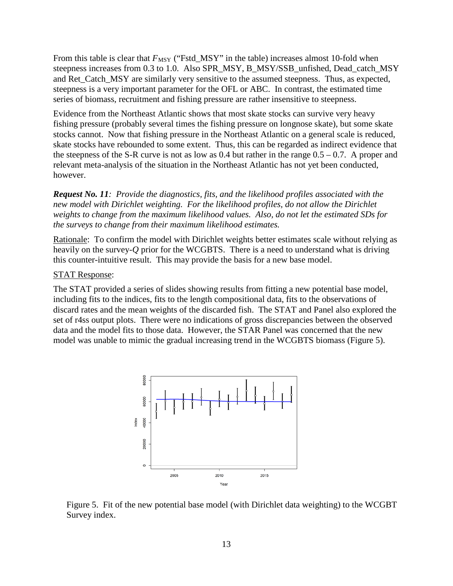From this table is clear that  $F_{\text{MSY}}$  ("Fstd\_MSY" in the table) increases almost 10-fold when steepness increases from 0.3 to 1.0. Also SPR\_MSY, B\_MSY/SSB\_unfished, Dead\_catch\_MSY and Ret\_Catch\_MSY are similarly very sensitive to the assumed steepness. Thus, as expected, steepness is a very important parameter for the OFL or ABC. In contrast, the estimated time series of biomass, recruitment and fishing pressure are rather insensitive to steepness.

Evidence from the Northeast Atlantic shows that most skate stocks can survive very heavy fishing pressure (probably several times the fishing pressure on longnose skate), but some skate stocks cannot. Now that fishing pressure in the Northeast Atlantic on a general scale is reduced, skate stocks have rebounded to some extent. Thus, this can be regarded as indirect evidence that the steepness of the S-R curve is not as low as  $0.4$  but rather in the range  $0.5 - 0.7$ . A proper and relevant meta-analysis of the situation in the Northeast Atlantic has not yet been conducted, however.

*Request No. 11: Provide the diagnostics, fits, and the likelihood profiles associated with the new model with Dirichlet weighting. For the likelihood profiles, do not allow the Dirichlet weights to change from the maximum likelihood values. Also, do not let the estimated SDs for the surveys to change from their maximum likelihood estimates.*

Rationale: To confirm the model with Dirichlet weights better estimates scale without relying as heavily on the survey-*Q* prior for the WCGBTS. There is a need to understand what is driving this counter-intuitive result. This may provide the basis for a new base model.

#### STAT Response:

The STAT provided a series of slides showing results from fitting a new potential base model, including fits to the indices, fits to the length compositional data, fits to the observations of discard rates and the mean weights of the discarded fish. The STAT and Panel also explored the set of r4ss output plots. There were no indications of gross discrepancies between the observed data and the model fits to those data. However, the STAR Panel was concerned that the new model was unable to mimic the gradual increasing trend in the WCGBTS biomass (Figure 5).



Figure 5. Fit of the new potential base model (with Dirichlet data weighting) to the WCGBT Survey index.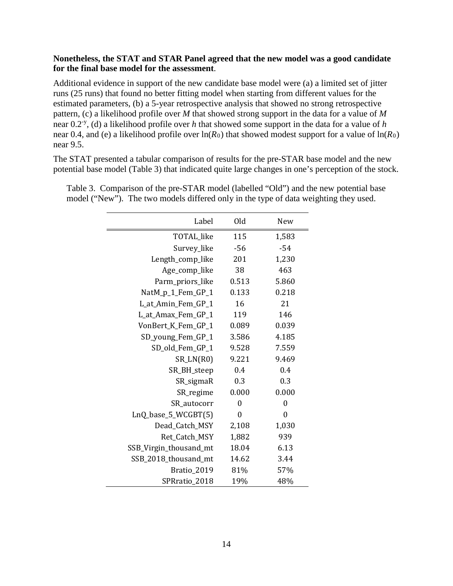#### **Nonetheless, the STAT and STAR Panel agreed that the new model was a good candidate for the final base model for the assessment**.

Additional evidence in support of the new candidate base model were (a) a limited set of jitter runs (25 runs) that found no better fitting model when starting from different values for the estimated parameters, (b) a 5-year retrospective analysis that showed no strong retrospective pattern, (c) a likelihood profile over *M* that showed strong support in the data for a value of *M* near 0.2-y , (d) a likelihood profile over *h* that showed some support in the data for a value of *h* near 0.4, and (e) a likelihood profile over  $ln(R_0)$  that showed modest support for a value of  $ln(R_0)$ near 9.5.

The STAT presented a tabular comparison of results for the pre-STAR base model and the new potential base model (Table 3) that indicated quite large changes in one's perception of the stock.

| Label                          | Old            | New              |
|--------------------------------|----------------|------------------|
| TOTAL_like                     | 115            | 1,583            |
| Survey_like                    | $-56$          | $-54$            |
| Length_comp_like               | 201            | 1,230            |
| Age_comp_like                  | 38             | 463              |
| Parm_priors_like               | 0.513          | 5.860            |
| NatM_p_1_Fem_GP_1              | 0.133          | 0.218            |
| L_at_Amin_Fem_GP_1             | 16             | 21               |
| L_at_Amax_Fem_GP_1             | 119            | 146              |
| VonBert <sub>_K_Fem_GP_1</sub> | 0.089          | 0.039            |
| SD_young_Fem_GP_1              | 3.586          | 4.185            |
| SD_old_Fem_GP_1                | 9.528          | 7.559            |
| $SR_LN(R0)$                    | 9.221          | 9.469            |
| SR_BH_steep                    | 0.4            | 0.4              |
| SR_sigmaR                      | 0.3            | 0.3              |
| SR_regime                      | 0.000          | 0.000            |
| SR_autocorr                    | $\overline{0}$ | $\overline{0}$   |
| LnQ_base_5_WCGBT(5)            | $\theta$       | $\boldsymbol{0}$ |
| Dead_Catch_MSY                 | 2,108          | 1,030            |
| Ret_Catch_MSY                  | 1,882          | 939              |
| SSB_Virgin_thousand_mt         | 18.04          | 6.13             |
| SSB_2018_thousand_mt           | 14.62          | 3.44             |
| Bratio 2019                    | 81%            | 57%              |
| SPRratio_2018                  | 19%            | 48%              |

Table 3. Comparison of the pre-STAR model (labelled "Old") and the new potential base model ("New"). The two models differed only in the type of data weighting they used.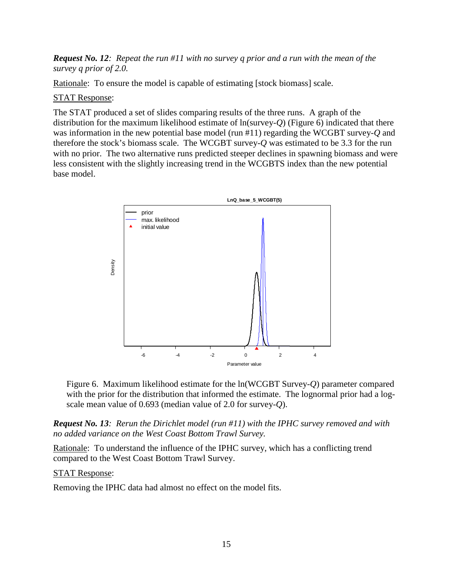### *Request No. 12: Repeat the run #11 with no survey q prior and a run with the mean of the survey q prior of 2.0.*

Rationale: To ensure the model is capable of estimating [stock biomass] scale.

#### STAT Response:

The STAT produced a set of slides comparing results of the three runs. A graph of the distribution for the maximum likelihood estimate of ln(survey-*Q*) (Figure 6) indicated that there was information in the new potential base model (run #11) regarding the WCGBT survey-*Q* and therefore the stock's biomass scale. The WCGBT survey-*Q* was estimated to be 3.3 for the run with no prior. The two alternative runs predicted steeper declines in spawning biomass and were less consistent with the slightly increasing trend in the WCGBTS index than the new potential base model.



Figure 6. Maximum likelihood estimate for the ln(WCGBT Survey-*Q*) parameter compared with the prior for the distribution that informed the estimate. The lognormal prior had a logscale mean value of 0.693 (median value of 2.0 for survey-*Q*).

*Request No. 13: Rerun the Dirichlet model (run #11) with the IPHC survey removed and with no added variance on the West Coast Bottom Trawl Survey.*

Rationale: To understand the influence of the IPHC survey, which has a conflicting trend compared to the West Coast Bottom Trawl Survey.

#### STAT Response:

Removing the IPHC data had almost no effect on the model fits.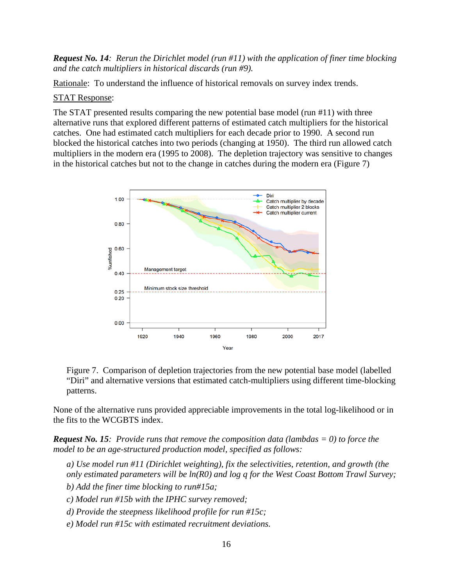*Request No. 14: Rerun the Dirichlet model (run #11) with the application of finer time blocking and the catch multipliers in historical discards (run #9).*

Rationale: To understand the influence of historical removals on survey index trends.

#### STAT Response:

The STAT presented results comparing the new potential base model (run  $#11$ ) with three alternative runs that explored different patterns of estimated catch multipliers for the historical catches. One had estimated catch multipliers for each decade prior to 1990. A second run blocked the historical catches into two periods (changing at 1950). The third run allowed catch multipliers in the modern era (1995 to 2008). The depletion trajectory was sensitive to changes in the historical catches but not to the change in catches during the modern era (Figure 7)



Figure 7. Comparison of depletion trajectories from the new potential base model (labelled "Diri" and alternative versions that estimated catch-multipliers using different time-blocking patterns.

None of the alternative runs provided appreciable improvements in the total log-likelihood or in the fits to the WCGBTS index.

*Request No. 15: Provide runs that remove the composition data (lambdas = 0) to force the model to be an age-structured production model, specified as follows:*

*a) Use model run #11 (Dirichlet weighting), fix the selectivities, retention, and growth (the only estimated parameters will be ln(R0) and log q for the West Coast Bottom Trawl Survey;*

*b) Add the finer time blocking to run#15a;*

*c) Model run #15b with the IPHC survey removed;*

- *d) Provide the steepness likelihood profile for run #15c;*
- *e) Model run #15c with estimated recruitment deviations.*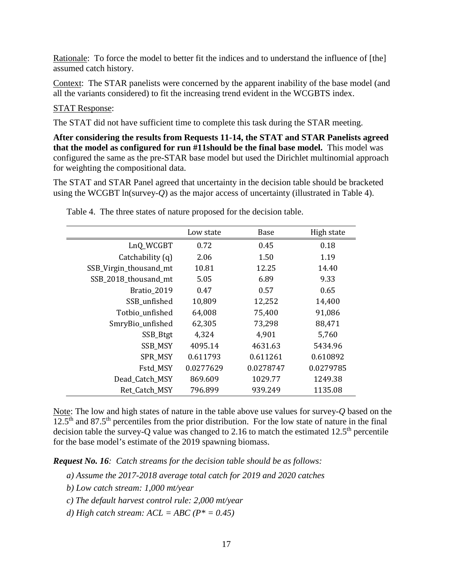Rationale: To force the model to better fit the indices and to understand the influence of [the] assumed catch history.

Context: The STAR panelists were concerned by the apparent inability of the base model (and all the variants considered) to fit the increasing trend evident in the WCGBTS index.

### STAT Response:

The STAT did not have sufficient time to complete this task during the STAR meeting.

**After considering the results from Requests 11-14, the STAT and STAR Panelists agreed that the model as configured for run #11should be the final base model.** This model was configured the same as the pre-STAR base model but used the Dirichlet multinomial approach for weighting the compositional data.

The STAT and STAR Panel agreed that uncertainty in the decision table should be bracketed using the WCGBT ln(survey-*Q*) as the major access of uncertainty (illustrated in Table 4).

|                        | Low state | Base      | High state |
|------------------------|-----------|-----------|------------|
| LnQ_WCGBT              | 0.72      | 0.45      | 0.18       |
| Catchability (q)       | 2.06      | 1.50      | 1.19       |
| SSB_Virgin_thousand_mt | 10.81     | 12.25     | 14.40      |
| SSB 2018 thousand mt   | 5.05      | 6.89      | 9.33       |
| Bratio_2019            | 0.47      | 0.57      | 0.65       |
| SSB_unfished           | 10,809    | 12,252    | 14,400     |
| Totbio_unfished        | 64,008    | 75,400    | 91,086     |
| SmryBio_unfished       | 62,305    | 73,298    | 88,471     |
| SSB_Btgt               | 4,324     | 4,901     | 5,760      |
| <b>SSB_MSY</b>         | 4095.14   | 4631.63   | 5434.96    |
| SPR_MSY                | 0.611793  | 0.611261  | 0.610892   |
| Fstd_MSY               | 0.0277629 | 0.0278747 | 0.0279785  |
| Dead Catch MSY         | 869.609   | 1029.77   | 1249.38    |
| Ret Catch MSY          | 796.899   | 939.249   | 1135.08    |

Table 4. The three states of nature proposed for the decision table.

Note: The low and high states of nature in the table above use values for survey-*Q* based on the 12.5<sup>th</sup> and 87.5<sup>th</sup> percentiles from the prior distribution. For the low state of nature in the final decision table the survey-Q value was changed to 2.16 to match the estimated  $12.5<sup>th</sup>$  percentile for the base model's estimate of the 2019 spawning biomass.

*Request No. 16: Catch streams for the decision table should be as follows:*

- *a) Assume the 2017-2018 average total catch for 2019 and 2020 catches*
- *b) Low catch stream: 1,000 mt/year*
- *c) The default harvest control rule: 2,000 mt/year*
- *d) High catch stream: ACL = ABC (P\* = 0.45)*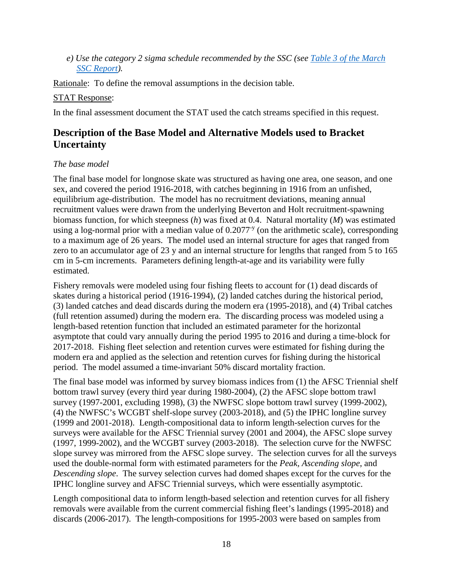*e) Use the category 2 sigma schedule recommended by the SSC (see [Table 3 of the March](https://www.pcouncil.org/wp-content/uploads/2019/03/G3a_Supp_SSC_Rpt1_Sigma_MAR2019BB.pdf)  [SSC Report\)](https://www.pcouncil.org/wp-content/uploads/2019/03/G3a_Supp_SSC_Rpt1_Sigma_MAR2019BB.pdf).*

Rationale: To define the removal assumptions in the decision table.

### STAT Response:

In the final assessment document the STAT used the catch streams specified in this request.

## **Description of the Base Model and Alternative Models used to Bracket Uncertainty**

### *The base model*

The final base model for longnose skate was structured as having one area, one season, and one sex, and covered the period 1916-2018, with catches beginning in 1916 from an unfished, equilibrium age-distribution. The model has no recruitment deviations, meaning annual recruitment values were drawn from the underlying Beverton and Holt recruitment-spawning biomass function, for which steepness (*h*) was fixed at 0.4. Natural mortality (*M*) was estimated using a log-normal prior with a median value of  $0.2077<sup>-y</sup>$  (on the arithmetic scale), corresponding to a maximum age of 26 years. The model used an internal structure for ages that ranged from zero to an accumulator age of 23 y and an internal structure for lengths that ranged from 5 to 165 cm in 5-cm increments. Parameters defining length-at-age and its variability were fully estimated.

Fishery removals were modeled using four fishing fleets to account for (1) dead discards of skates during a historical period (1916-1994), (2) landed catches during the historical period, (3) landed catches and dead discards during the modern era (1995-2018), and (4) Tribal catches (full retention assumed) during the modern era. The discarding process was modeled using a length-based retention function that included an estimated parameter for the horizontal asymptote that could vary annually during the period 1995 to 2016 and during a time-block for 2017-2018. Fishing fleet selection and retention curves were estimated for fishing during the modern era and applied as the selection and retention curves for fishing during the historical period. The model assumed a time-invariant 50% discard mortality fraction.

The final base model was informed by survey biomass indices from (1) the AFSC Triennial shelf bottom trawl survey (every third year during 1980-2004), (2) the AFSC slope bottom trawl survey (1997-2001, excluding 1998), (3) the NWFSC slope bottom trawl survey (1999-2002), (4) the NWFSC's WCGBT shelf-slope survey (2003-2018), and (5) the IPHC longline survey (1999 and 2001-2018). Length-compositional data to inform length-selection curves for the surveys were available for the AFSC Triennial survey (2001 and 2004), the AFSC slope survey (1997, 1999-2002), and the WCGBT survey (2003-2018). The selection curve for the NWFSC slope survey was mirrored from the AFSC slope survey. The selection curves for all the surveys used the double-normal form with estimated parameters for the *Peak, Ascending slope*, and *Descending slope*. The survey selection curves had domed shapes except for the curves for the IPHC longline survey and AFSC Triennial surveys, which were essentially asymptotic.

Length compositional data to inform length-based selection and retention curves for all fishery removals were available from the current commercial fishing fleet's landings (1995-2018) and discards (2006-2017). The length-compositions for 1995-2003 were based on samples from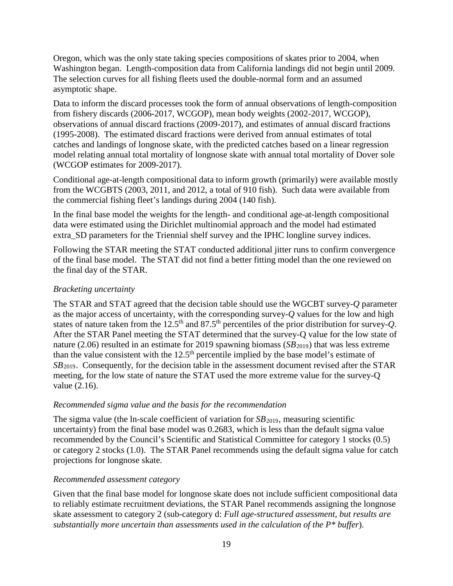Oregon, which was the only state taking species compositions of skates prior to 2004, when Washington began. Length-composition data from California landings did not begin until 2009. The selection curves for all fishing fleets used the double-normal form and an assumed asymptotic shape.

Data to inform the discard processes took the form of annual observations of length-composition from fishery discards (2006-2017, WCGOP), mean body weights (2002-2017, WCGOP), observations of annual discard fractions (2009-2017), and estimates of annual discard fractions (1995-2008). The estimated discard fractions were derived from annual estimates of total catches and landings of longnose skate, with the predicted catches based on a linear regression model relating annual total mortality of longnose skate with annual total mortality of Dover sole (WCGOP estimates for 2009-2017).

Conditional age-at-length compositional data to inform growth (primarily) were available mostly from the WCGBTS (2003, 2011, and 2012, a total of 910 fish). Such data were available from the commercial fishing fleet's landings during 2004 (140 fish).

In the final base model the weights for the length- and conditional age-at-length compositional data were estimated using the Dirichlet multinomial approach and the model had estimated extra\_SD parameters for the Triennial shelf survey and the IPHC longline survey indices.

Following the STAR meeting the STAT conducted additional jitter runs to confirm convergence of the final base model. The STAT did not find a better fitting model than the one reviewed on the final day of the STAR.

## *Bracketing uncertainty*

The STAR and STAT agreed that the decision table should use the WGCBT survey-*Q* parameter as the major access of uncertainty, with the corresponding survey-*Q* values for the low and high states of nature taken from the 12.5<sup>th</sup> and 87.5<sup>th</sup> percentiles of the prior distribution for survey-*Q*. After the STAR Panel meeting the STAT determined that the survey-Q value for the low state of nature (2.06) resulted in an estimate for 2019 spawning biomass (*SB*<sub>2019</sub>) that was less extreme than the value consistent with the  $12.5<sup>th</sup>$  percentile implied by the base model's estimate of *SB*<sub>2019</sub>. Consequently, for the decision table in the assessment document revised after the STAR meeting, for the low state of nature the STAT used the more extreme value for the survey-Q value (2.16).

#### *Recommended sigma value and the basis for the recommendation*

The sigma value (the ln-scale coefficient of variation for *SB*<sub>2019</sub>, measuring scientific uncertainty) from the final base model was 0.2683, which is less than the default sigma value recommended by the Council's Scientific and Statistical Committee for category 1 stocks (0.5) or category 2 stocks (1.0). The STAR Panel recommends using the default sigma value for catch projections for longnose skate.

#### *Recommended assessment category*

Given that the final base model for longnose skate does not include sufficient compositional data to reliably estimate recruitment deviations, the STAR Panel recommends assigning the longnose skate assessment to category 2 (sub-category d: *Full age-structured assessment, but results are substantially more uncertain than assessments used in the calculation of the P\* buffer*).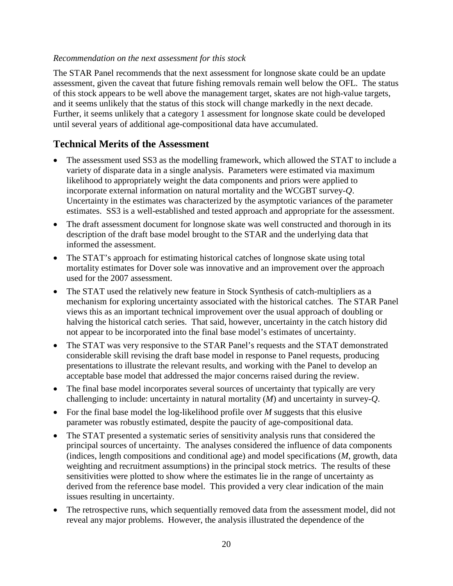#### *Recommendation on the next assessment for this stock*

The STAR Panel recommends that the next assessment for longnose skate could be an update assessment, given the caveat that future fishing removals remain well below the OFL. The status of this stock appears to be well above the management target, skates are not high-value targets, and it seems unlikely that the status of this stock will change markedly in the next decade. Further, it seems unlikely that a category 1 assessment for longnose skate could be developed until several years of additional age-compositional data have accumulated.

## **Technical Merits of the Assessment**

- The assessment used SS3 as the modelling framework, which allowed the STAT to include a variety of disparate data in a single analysis. Parameters were estimated via maximum likelihood to appropriately weight the data components and priors were applied to incorporate external information on natural mortality and the WCGBT survey-*Q*. Uncertainty in the estimates was characterized by the asymptotic variances of the parameter estimates. SS3 is a well-established and tested approach and appropriate for the assessment.
- The draft assessment document for longnose skate was well constructed and thorough in its description of the draft base model brought to the STAR and the underlying data that informed the assessment.
- The STAT's approach for estimating historical catches of longnose skate using total mortality estimates for Dover sole was innovative and an improvement over the approach used for the 2007 assessment.
- The STAT used the relatively new feature in Stock Synthesis of catch-multipliers as a mechanism for exploring uncertainty associated with the historical catches. The STAR Panel views this as an important technical improvement over the usual approach of doubling or halving the historical catch series. That said, however, uncertainty in the catch history did not appear to be incorporated into the final base model's estimates of uncertainty.
- The STAT was very responsive to the STAR Panel's requests and the STAT demonstrated considerable skill revising the draft base model in response to Panel requests, producing presentations to illustrate the relevant results, and working with the Panel to develop an acceptable base model that addressed the major concerns raised during the review.
- The final base model incorporates several sources of uncertainty that typically are very challenging to include: uncertainty in natural mortality (*M*) and uncertainty in survey-*Q*.
- For the final base model the log-likelihood profile over *M* suggests that this elusive parameter was robustly estimated, despite the paucity of age-compositional data.
- The STAT presented a systematic series of sensitivity analysis runs that considered the principal sources of uncertainty. The analyses considered the influence of data components (indices, length compositions and conditional age) and model specifications (*M*, growth, data weighting and recruitment assumptions) in the principal stock metrics. The results of these sensitivities were plotted to show where the estimates lie in the range of uncertainty as derived from the reference base model. This provided a very clear indication of the main issues resulting in uncertainty.
- The retrospective runs, which sequentially removed data from the assessment model, did not reveal any major problems. However, the analysis illustrated the dependence of the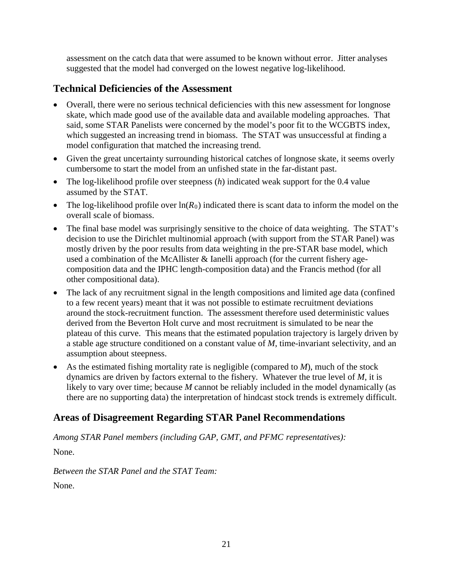assessment on the catch data that were assumed to be known without error. Jitter analyses suggested that the model had converged on the lowest negative log-likelihood.

# **Technical Deficiencies of the Assessment**

- Overall, there were no serious technical deficiencies with this new assessment for longnose skate, which made good use of the available data and available modeling approaches. That said, some STAR Panelists were concerned by the model's poor fit to the WCGBTS index, which suggested an increasing trend in biomass. The STAT was unsuccessful at finding a model configuration that matched the increasing trend.
- Given the great uncertainty surrounding historical catches of longnose skate, it seems overly cumbersome to start the model from an unfished state in the far-distant past.
- The log-likelihood profile over steepness (*h*) indicated weak support for the 0.4 value assumed by the STAT.
- The log-likelihood profile over  $ln(R_0)$  indicated there is scant data to inform the model on the overall scale of biomass.
- The final base model was surprisingly sensitive to the choice of data weighting. The STAT's decision to use the Dirichlet multinomial approach (with support from the STAR Panel) was mostly driven by the poor results from data weighting in the pre-STAR base model, which used a combination of the McAllister & Ianelli approach (for the current fishery agecomposition data and the IPHC length-composition data) and the Francis method (for all other compositional data).
- The lack of any recruitment signal in the length compositions and limited age data (confined to a few recent years) meant that it was not possible to estimate recruitment deviations around the stock-recruitment function. The assessment therefore used deterministic values derived from the Beverton Holt curve and most recruitment is simulated to be near the plateau of this curve. This means that the estimated population trajectory is largely driven by a stable age structure conditioned on a constant value of *M*, time-invariant selectivity, and an assumption about steepness.
- As the estimated fishing mortality rate is negligible (compared to *M*), much of the stock dynamics are driven by factors external to the fishery. Whatever the true level of *M*, it is likely to vary over time; because *M* cannot be reliably included in the model dynamically (as there are no supporting data) the interpretation of hindcast stock trends is extremely difficult.

# **Areas of Disagreement Regarding STAR Panel Recommendations**

*Among STAR Panel members (including GAP, GMT, and PFMC representatives):*

None.

*Between the STAR Panel and the STAT Team:*  None.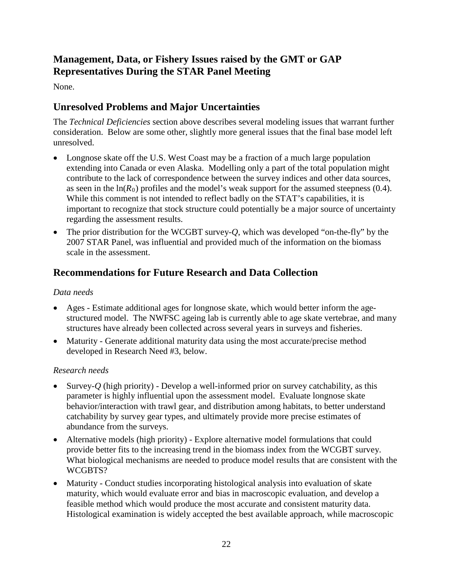# **Management, Data, or Fishery Issues raised by the GMT or GAP Representatives During the STAR Panel Meeting**

None.

## **Unresolved Problems and Major Uncertainties**

The *Technical Deficiencies* section above describes several modeling issues that warrant further consideration. Below are some other, slightly more general issues that the final base model left unresolved.

- Longnose skate off the U.S. West Coast may be a fraction of a much large population extending into Canada or even Alaska. Modelling only a part of the total population might contribute to the lack of correspondence between the survey indices and other data sources, as seen in the  $ln(R_0)$  profiles and the model's weak support for the assumed steepness (0.4). While this comment is not intended to reflect badly on the STAT's capabilities, it is important to recognize that stock structure could potentially be a major source of uncertainty regarding the assessment results.
- The prior distribution for the WCGBT survey-*Q*, which was developed "on-the-fly" by the 2007 STAR Panel, was influential and provided much of the information on the biomass scale in the assessment.

## **Recommendations for Future Research and Data Collection**

### *Data needs*

- Ages Estimate additional ages for longnose skate, which would better inform the agestructured model. The NWFSC ageing lab is currently able to age skate vertebrae, and many structures have already been collected across several years in surveys and fisheries.
- Maturity Generate additional maturity data using the most accurate/precise method developed in Research Need #3, below.

## *Research needs*

- Survey-*Q* (high priority) Develop a well-informed prior on survey catchability, as this parameter is highly influential upon the assessment model. Evaluate longnose skate behavior/interaction with trawl gear, and distribution among habitats, to better understand catchability by survey gear types, and ultimately provide more precise estimates of abundance from the surveys.
- Alternative models (high priority) Explore alternative model formulations that could provide better fits to the increasing trend in the biomass index from the WCGBT survey. What biological mechanisms are needed to produce model results that are consistent with the WCGBTS?
- Maturity Conduct studies incorporating histological analysis into evaluation of skate maturity, which would evaluate error and bias in macroscopic evaluation, and develop a feasible method which would produce the most accurate and consistent maturity data. Histological examination is widely accepted the best available approach, while macroscopic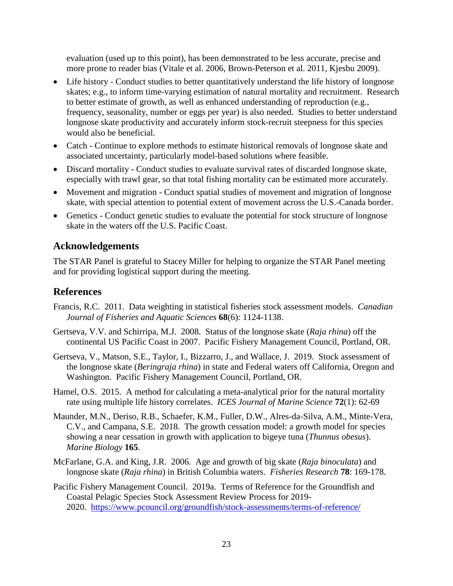evaluation (used up to this point), has been demonstrated to be less accurate, precise and more prone to reader bias (Vitale et al. 2006, Brown-Peterson et al. 2011, Kjesbu 2009).

- Life history Conduct studies to better quantitatively understand the life history of longnose skates; e.g., to inform time-varying estimation of natural mortality and recruitment. Research to better estimate of growth, as well as enhanced understanding of reproduction (e.g., frequency, seasonality, number or eggs per year) is also needed. Studies to better understand longnose skate productivity and accurately inform stock-recruit steepness for this species would also be beneficial.
- Catch Continue to explore methods to estimate historical removals of longnose skate and associated uncertainty, particularly model-based solutions where feasible.
- Discard mortality Conduct studies to evaluate survival rates of discarded longnose skate, especially with trawl gear, so that total fishing mortality can be estimated more accurately.
- Movement and migration Conduct spatial studies of movement and migration of longnose skate, with special attention to potential extent of movement across the U.S.-Canada border.
- Genetics Conduct genetic studies to evaluate the potential for stock structure of longnose skate in the waters off the U.S. Pacific Coast.

# **Acknowledgements**

The STAR Panel is grateful to Stacey Miller for helping to organize the STAR Panel meeting and for providing logistical support during the meeting.

## **References**

- Francis, R.C. 2011. Data weighting in statistical fisheries stock assessment models. *Canadian Journal of Fisheries and Aquatic Sciences* **68**(6): 1124-1138.
- Gertseva, V.V. and Schirripa, M.J. 2008. Status of the longnose skate (*Raja rhina*) off the continental US Pacific Coast in 2007. Pacific Fishery Management Council, Portland, OR.
- Gertseva, V., Matson, S.E., Taylor, I., Bizzarro, J., and Wallace, J. 2019. Stock assessment of the longnose skate (*Beringraja rhina*) in state and Federal waters off California, Oregon and Washington. Pacific Fishery Management Council, Portland, OR.
- Hamel, O.S. 2015. A method for calculating a meta-analytical prior for the natural mortality rate using multiple life history correlates. *ICES Journal of Marine Science* **72**(1): 62-69
- Maunder, M.N., Deriso, R.B., Schaefer, K.M., Fuller, D.W., Alres-da-Silva, A.M., Minte-Vera, C.V., and Campana, S.E. 2018. The growth cessation model: a growth model for species showing a near cessation in growth with application to bigeye tuna (*Thunnus obesus*). *Marine Biology* **165**.
- McFarlane, G.A. and King, J.R. 2006. Age and growth of big skate (*Raja binoculata*) and longnose skate (*Raja rhina*) in British Columbia waters. *Fisheries Research* **78**: 169-178.
- Pacific Fishery Management Council. 2019a. Terms of Reference for the Groundfish and Coastal Pelagic Species Stock Assessment Review Process for 2019- 2020. <https://www.pcouncil.org/groundfish/stock-assessments/terms-of-reference/>